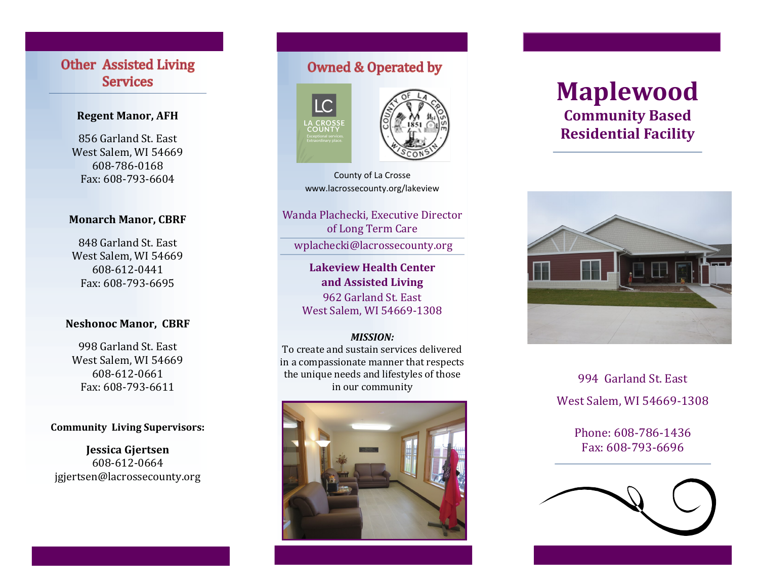# **Other Assisted Living Services**

# **Regent Manor, AFH**

856 Garland St. East West Salem, WI 54669 608-786-0168 Fax: 608-793-6604

# **Monarch Manor, CBRF**

848 Garland St. East West Salem, WI 54669 608-612-0441 Fax: 608-793-6695

## **Neshonoc Manor, CBRF**

998 Garland St. East West Salem, WI 54669 608-612-0661 Fax: 608-793-6611

#### **Community Living Supervisors:**

**Jessica Gjertsen** 608-612-0664 jgjertsen@lacrossecounty.org

# **Owned & Operated by**





County of La Crosse www.lacrossecounty.org/lakeview

Wanda Plachecki, Executive Director of Long Term Care

wplachecki@lacrossecounty.org

# **Lakeview Health Center and Assisted Living**

962 Garland St. East West Salem, WI 54669-1308

#### *MISSION:*

To create and sustain services delivered in a compassionate manner that respects the unique needs and lifestyles of those in our community



# **Maplewood Community Based Residential Facility**



994 Garland St. East West Salem, WI 54669-1308

> Phone: 608-786-1436 Fax: 608-793-6696